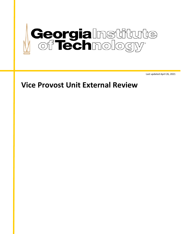

Last updated April 26, 2021

# **Vice Provost Unit External Review**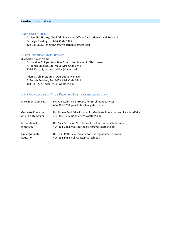## **Contact Information**

#### **PROVOST OFFICE**

Dr. Jennifer Herazy, Chief Administrative Officer for Academics and Research Carnegie Building Mail Code 0325 404-385-3037, jennifer.herazy@carnegie.gatech.edu

## **INSTITUTE RESOURCE OFFICES**

*Academic Effectiveness* Dr. Loraine Phillips, Associate Provost for Academic Effectiveness A. French Building, Ste. #003, Mail Code 0741 404-385-1419, loraine.phillips@gatech.edu

Adam Stroh, Program & Operations Manager A. French Building, Ste. #003, Mail Code 0741 404-385-2229, adam.stroh@gatech.edu

#### **UNIT CONTACTS FOR VICE PROVOST UNIT EXTERNAL REVIEW**

| <b>Enrollment Services</b> | Dr. Paul Kohn, Vice Provost for Enrollment Services<br>404-385-3708, paul.kohn@ssc.gatech.edu |
|----------------------------|-----------------------------------------------------------------------------------------------|
| <b>Graduate Education</b>  | Dr. Bonnie Ferri, Vice Provost for Graduate Education and Faculty Affairs                     |
| <b>And Faculty Affairs</b> | 404-385-3685, bonnie.ferri@gatech.edu                                                         |
| International              | Dr. Yves Berthelot, Vice Provost for International Initiatives                                |
| <b>Initiatives</b>         | 404-894-7482, yves.berthelot@provost.gatech.edu                                               |
| Undergraduate              | Dr. Colin Potts, Vice Provost for Undergraduate Education                                     |
| Education                  | 404-894-5054, colin.potts@gatech.edu                                                          |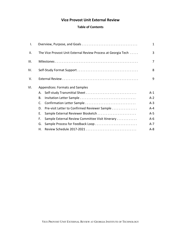# **Vice Provost Unit External Review**

## **Table of Contents**

| Ι.   |    |                                                               | $\mathbf{1}$   |
|------|----|---------------------------------------------------------------|----------------|
| II.  |    | The Vice Provost Unit External Review Process at Georgia Tech | 3              |
| III. |    |                                                               | $\overline{7}$ |
| IV.  |    |                                                               | 8              |
| V.   |    |                                                               | 9              |
| VI.  |    | Appendices: Formats and Samples                               |                |
|      | А. | Self-study Transmittal Sheet                                  | $A-1$          |
|      | В. |                                                               | $A-2$          |
|      | C. | Confirmation Letter Sample                                    | $A-3$          |
|      | D. | Pre-visit Letter to Confirmed Reviewer Sample                 | A-4            |
|      | Е. |                                                               | $A-5$          |
|      | F. | Sample External Review Committee Visit Itinerary              | $A-6$          |
|      | G. | Sample Process for Feedback Loop                              | $A-7$          |
|      | Н. |                                                               | $A - 8$        |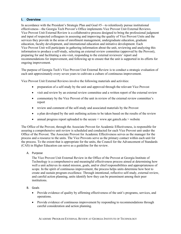#### **I. Overview**

In accordance with the President's Strategic Plan and Goal #5—to relentlessly pursue institutional effectiveness—the Georgia Tech Provost's Office implements Vice Provost Unit External Reviews. Vice Provost Unit External Review is a collaborative process designed to bring the professional judgment and input of respected colleagues in assessing and improving the quality of Vice Provost Units and the services they provide in the areas of enrollment management, undergraduate education, graduate education, faculty development, and international education and initiative development. Each Vice Provost Unit will participate in gathering information about the unit, reviewing and analyzing this information to produce a self-study, selecting an external review committee (approved by the Provost), preparing for and facilitating a site-visit, responding to the external reviewers' report and recommendations for improvement, and following up to ensure that the unit is supported in its efforts for ongoing improvement.

The purpose of Georgia Tech's Vice Provost Unit External Review is to conduct a strategic evaluation of each unit approximately every seven years to cultivate a culture of continuous improvement.

Vice Provost Unit External Reviews involve the following materials and activities:

- preparation of a self-study by the unit and approved through the relevant Vice Provost
- visit and review by an external review committee and a written report of the external review
- commentary by the Vice Provost of the unit in review of the external review committee's report
- review and comment of the self-study and associated materials by the Provost
- a plan developed by the unit outlining actions to be taken based on the results of the review
- annual progress report uploaded to the secure  $\leq$  [www.apr.gatech.edu](http://www.apr.gatech.edu/)  $\geq$  website

The Office of the Provost, through the Associate Provost for Academic Effectiveness, is responsible for assuring a comprehensive unit review is scheduled and conducted for each Vice Provost unit under the Office of the Provost. The Associate Provost for Academic Effectiveness serves as the manager for the process and a resource to the units. The Vice Provosts serve as the primary contact within each unit for the process. To the extent that is appropriate for the units, the Council for the Advancement of Standards (CAS) in Higher Education can serve as a guideline for the review.

A. Purpose

The Vice Provost Unit External Review in the Office of the Provost at Georgia Institute of Technology is a comprehensive and meaningful effectiveness process aimed at determining how well a unit achieves its stated mission, goals, and/or chief responsibilities and appropriateness of scope. In the spirit of continuous improvement, the process helps units determine how best to create and sustain program excellence. Through intentional, reflective self-study, external review, and careful action planning, units identify how they can be preeminent among their peer institutions.

- B. Goals
	- Provide evidence of quality by affirming effectiveness of the unit's programs, services, and operations.
	- Provide evidence of continuous improvement by responding to recommendations through careful consideration and action planning.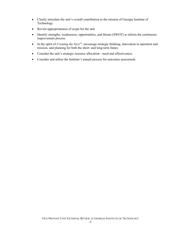- Clearly articulate the unit's overall contribution to the mission of Georgia Institute of Technology.
- Revisit appropriateness of scope for the unit.
- Identify strengths, weaknesses, opportunities, and threats (SWOT) to inform the continuous improvement process.
- In the spirit of *Creating the Next*<sup>®</sup>, encourage strategic thinking, innovation in operation and mission, and planning for both the short- and long-term future.
- Consider the unit's strategic resource allocation—need and effectiveness.
- Consider and utilize the Institute's annual process for outcomes assessment.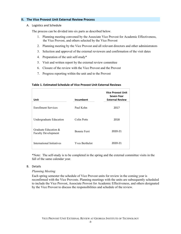## **II. The Vice Provost Unit External Review Process**

A. Logistics and Schedule

The process can be divided into six parts as described below.

- 1. Planning meeting convened by the Associate Vice Provost for Academic Effectiveness, the Vice Provost, and others selected by the Vice Provost
- 2. Planning meeting by the Vice Provost and all relevant directors and other administrators
- 3. Selection and approval of the external reviewers and confirmation of the visit dates
- 4. Preparation of the unit self-study\*
- 5. Visit and written report by the external review committee
- 6. Closure of the review with the Vice Provost and the Provost
- 7. Progress reporting within the unit and to the Provost

#### **Table 1. Estimated Schedule of Vice Provost Unit External Reviews**

| Unit                                               | Incumbent             | <b>Vice Provost Unit</b><br>Seven-Year<br><b>External Review</b> |
|----------------------------------------------------|-----------------------|------------------------------------------------------------------|
| <b>Enrollment Services</b>                         | Paul Kohn             | 2017                                                             |
| Undergraduate Education                            | Colin Potts           | 2018                                                             |
| Graduate Education &<br><b>Faculty Development</b> | <b>Bonnie Ferri</b>   | 2020-21                                                          |
| International Initiatives                          | <b>Yves Berthelot</b> | 2020-21                                                          |

\*Note: The self-study is to be completed in the spring and the external committee visits in the fall of the same calendar year.

#### B. Details

#### *Planning Meeting*

Each spring semester the schedule of Vice Provost units for review in the coming year is reconfirmed with the Vice Provosts. Planning meetings with the units are subsequently scheduled to include the Vice Provost, Associate Provost for Academic Effectiveness, and others designated by the Vice Provost to discuss the responsibilities and schedule of the review.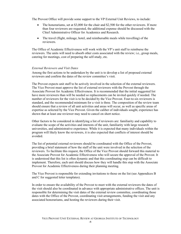The Provost Office will provide some support to the VP External Unit Reviews, to include:

- The honorariums, set at \$3,000 for the chair and \$2,500 for the other reviewers. If more than four reviewers are requested, the additional expense should be discussed with the Chief Administrative Officer for Academics and Research.
- The travel (flight, mileage, hotel, and reimbursable meals while travelling) of the reviewers.

The Office of Academic Effectiveness will work with the VP's unit staff to reimburse the reviewers. The units will need to absorb other costs associated with the review; i.e., group meals, catering for meetings, cost of preparing the self-study, etc.

#### *External Reviewers and Visit Dates*

Among the first actions to be undertaken by the unit is to develop a list of proposed external reviewers and confirm the dates of the review committee's visit.

The Provost expects unit staff to be actively involved in the selection of the external reviewers. The Vice Provost must approve the list of external reviewers with the Provost through the Associate Provost for Academic Effectiveness. It is recommended that the initial suggested list have more reviewers than will be needed so replacements can be invited quickly if needed. The number of reviewers for the visit is to be decided by the Vice Provost. Four-to-six reviewers is standard, and the recommended minimum for a visit is three. The composition of the review team should ensure that a review of all unit activities and areas will occur, as well as specific areas of expertise as selected by the Vice Provost. Given the caliber of individuals sought, experience has shown that at least one reviewer may need to cancel on short notice.

Other factors to be considered in identifying a list of reviewers are: familiarity and capability to evaluate the scope of the activities and interests of the unit, familiarity with large research universities, and administrative experience. While it is expected that many individuals within the program will likely know the reviewers, it is also expected that conflicts of interest should be avoided.

The list of potential external reviewers should be coordinated with the Office of the Provost, providing a brief statement of how the staff of the unit were involved in the selection of the reviewers. To facilitate this request, the Office of the Vice Provost should forward this material to the Associate Provost for Academic Effectiveness who will secure the approval of the Provost. It is understood that this list is often dynamic and that this coordinating step can be difficult to implement. Therefore, each unit should discuss how they will handle this step with the Associate Provost for Academic Effectiveness during their planning meeting.

The Vice Provost is responsible for extending invitations to those on the list (see Appendices B and C for suggested letter templates).

In order to ensure the availability of the Provost to meet with the external reviewers the dates of the visit should also be coordinated in advance with appropriate administrative offices. The unit is responsible for determining the visit dates of the external review committee, coordinating those dates with the Office of the Provost, coordinating visit arrangements, funding the visit and any associated honorariums, and hosting the reviewers during their visit.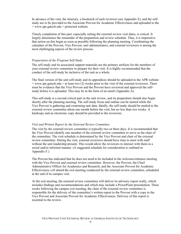In advance of the visit, the itinerary, a biosketch of each reviewer (see Appendix E), and the selfstudy are to be provided to the Associate Provost for Academic Effectiveness and uploaded to the < [www.apr.gatech.edu](http://www.apr.gatech.edu/) > protected website.

Timely completion of this part, especially setting the external review visit dates, is critical. It largely determines the remainder of the preparation and review schedule. Thus, it is imperative that action on this begin as soon as possible following the planning meeting. Coordinating the calendars of the Provost, Vice Provost, unit administrators, and external reviewers is among the most challenging aspects of the review process.

#### *Preparation of the Program Self-Study*

The self-study and its associated support materials are the primary artifacts for the members of your external review committee to prepare for their visit. It is highly recommended that the conduct of the self-study be inclusive of the unit as a whole.

The final version of the unit self-study and its appendices should be uploaded to the APR website  $\leq$  [www.apr.gatech.edu](http://www.apr.gatech.edu/)  $>$  at least two (2) weeks prior to the visit of the external reviewers. There must be evidence that the Vice Provost and the Provost have reviewed and approved the selfstudy before it is uploaded. This may be in the form of an email (Appendix A).

This self-study is a second critical part in the unit review, and its preparation should also begin shortly after the planning meeting. The self-study focus and outline can be started while the Vice Provost is gathering and examining unit data. Ideally, the self-study should be mailed to the external review committee about one month before the visit, but no less than two weeks. A hardcopy and an electronic copy should be provided to the reviewers.

#### *Visit and Written Report by the External Review Committee*

The visit by the external review committee is typically two or three days. It is recommended that the Vice Provost identify one member of the external review committee to serve as the chair of the committee. The visit schedule is determined by the Vice Provost and chair of the external review committee. During the visit, external reviewers should have time to meet with staff without the unit leadership present. This would allow the reviewers to interact with them in a social and/or informal manner. (A suggested schedule for consideration is outlined in Appendix F.)

The Provost has indicated that he does not need to be included in the welcome/entrance meeting with the Vice Provost and external review committee. However, the Provost, the Chief Administrative Officer for Academics and Research, and the Associate Provost for Academic Effectiveness *will* attend the exit meeting conducted by the external review committee, scheduled at the end of its campus visit.

At the exit meeting, the external review committee will deliver its advisory report orally, which includes findings and recommendations and which may include a PowerPoint presentation. Three weeks following the campus exit meeting, the chair of the external review committee is responsible for the delivery of the committee's written report to the Provost with a copy to the Vice Provost and Associate Provost for Academic Effectiveness. Delivery of this report is essential to the review.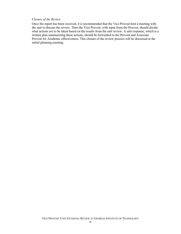#### *Closure of the Review*

Once the report has been received, it is recommended that the Vice Provost host a meeting with the unit to discuss the review. Then the Vice Provost, with input from the Provost, should decide what actions are to be taken based on the results from the unit review. A unit response, which is a written plan summarizing these actions, should be forwarded to the Provost and Associate Provost for Academic effectiveness. This closure of the review process will be discussed at the initial planning meeting.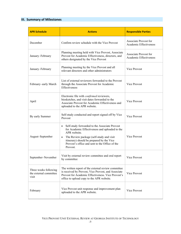## **III. Summary of Milestones**

| <b>APR Schedule</b>                                      | <b>Actions</b>                                                                                                                                                                                                                                                         | <b>Responsible Parties</b>                      |  |
|----------------------------------------------------------|------------------------------------------------------------------------------------------------------------------------------------------------------------------------------------------------------------------------------------------------------------------------|-------------------------------------------------|--|
| December                                                 | Confirm review schedule with the Vice Provost                                                                                                                                                                                                                          | Associate Provost for<br>Academic Effectiveness |  |
| January-February                                         | Planning meeting held with Vice Provost, Associate<br>Provost for Academic Effectiveness, directors, and<br>others designated by the Vice Provost                                                                                                                      | Associate Provost for<br>Academic Effectiveness |  |
| January-February                                         | Planning meeting by the Vice Provost and all<br>relevant directors and other administrators                                                                                                                                                                            | Vice Provost                                    |  |
| February-early March                                     | List of external reviewers forwarded to the Provost<br>through the Associate Provost for Academic<br>Effectiveness                                                                                                                                                     | Vice Provost                                    |  |
| April                                                    | Electronic file with <i>confirmed</i> reviewers,<br>biosketches, and visit dates forwarded to the<br>Associate Provost for Academic Effectiveness and<br>uploaded to the APR website.                                                                                  | Vice Provost                                    |  |
| By early Summer                                          | Self-study conducted and report signed off by Vice<br>Provost                                                                                                                                                                                                          | Vice Provost                                    |  |
| August-September                                         | Self-study forwarded to the Associate Provost<br>for Academic Effectiveness and uploaded to the<br>APR website.<br>The Review package (self-study and visit<br>itinerary) should be prepared by the Vice<br>Provost's office and sent to the Office of the<br>Provost. | Vice Provost                                    |  |
| September-November                                       | Visit by external review committee and oral report<br>by committee                                                                                                                                                                                                     | Vice Provost                                    |  |
| Three weeks following<br>the external committee<br>visit | The written report of the external review committee<br>is received by Provost, Vice Provost, and Associate<br>Provost for Academic Effectiveness. Vice Provost's<br>office to upload copy to the APR website.                                                          | Vice Provost                                    |  |
| February                                                 | Vice Provost unit response and improvement plan<br>uploaded to the APR website.                                                                                                                                                                                        | Vice Provost                                    |  |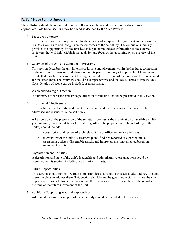#### **IV. Self-Study Format Support**

The self-study should be organized into the following sections and divided into subsections as appropriate. Additional sections may be added as decided by the Vice Provost.

A. Executive Summary

The executive summary is presented by the unit's leadership to note significant and noteworthy results as well as to add thoughts on the outcomes of the self-study. The executive summary provides the opportunity for the unit leadership to communicate information to the external reviewers that will help establish the goals for and focus of the upcoming on-site review of the unit.

B. Overview of the Unit and Component Programs

This section describes the unit in terms of its role and placement within the Institute, connection to the institutional mission, and stature within its peer community (if applicable). Major recent events that may have a significant bearing on the future direction of the unit should be considered for inclusion here. The overview should be comprehensive and include all areas within the unit. Consideration of scope can be included, as appropriate.

#### C. Vision and Strategic Direction

A summary of the vision and strategic direction for the unit should be presented in this section.

#### D. Institutional Effectiveness

The "viability, productivity, and quality" of the unit and its offices under review are to be addressed and discussed in the self-study.

A key portion of the preparation of the self-study process is the examination of available multiyear internally collected data for the unit. Regardless, the preparation of the self-study of the unit(s) should include:

- 1. a description and review of each relevant major office and service in the unit;
- 2. an overview of the unit's assessment plans, findings reported as a part of annual assessment updates, discernable trends, and improvements implemented based on assessment results.

#### E. Organization and Facilities

A description and state of the unit's leadership and administrative organization should be presented in this section, including organizational charts.

#### F. Future Opportunities

This section should summarize future opportunities as a result of this self-study, and how the unit presently plans to address them. This section should state the goals and vision of where the unit expects to be going between the present and the next review. This key section of the report sets the tone of the future movement of the unit.

G. Additional Supporting Materials/Appendices

Additional materials in support of the self-study should be included in this section.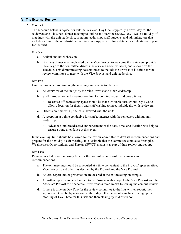#### **V. The External Review**

#### A. The Visit

The schedule below is typical for external reviews. Day One is typically a travel day for the reviewers and a business dinner meeting to outline and start the review. Day Two is a full day of meetings with the unit leadership, program leadership, staff, students, and administrators that includes a tour of the unit/Institute facilities. See Appendix F for a detailed sample itinerary plan for the visit.

#### Day One

- a. Arrival and hotel check-in.
- b. Business dinner meeting hosted by the Vice Provost to welcome the reviewers, provide the charge to the committee, discuss the review and deliverables, and re-confirm the schedule. This dinner meeting does not need to include the Provost; it is a time for the review committee to meet with the Vice Provost and unit leadership.

#### Day Two

Unit review(s) begins. Among the meetings and events to plan are:

- a. An overview of the unit(s) by the Vice Provost and other leadership.
- b. Staff introduction and meetings—allow for both individual and group times.
	- i. Reserved office/meeting space should be made available throughout Day Two to allow a location for faculty and staff wishing to meet individually with reviewers.
- c. Discussion time with principals involved with the units.
- d. A reception at a time conducive for staff to interact with the reviewers without unit leadership.
	- i. Advanced and broadcasted announcement of the date, time, and location will help to ensure strong attendance at this event.

In the evening, time should be allowed for the review committee to draft its recommendations and prepare for the next day's exit meeting. It is desirable that the committee conduct a Strengths, Weaknesses, Opportunities, and Threats (SWOT) analysis as part of their review and report.

#### Day Three

Review concludes with morning time for the committee to revisit its comments and recommendations.

- a. The exit meeting should be scheduled at a time convenient to the Provost/representative, Vice Provosts, and others as decided by the Provost and the Vice Provost.
- b. An oral report and/or presentation are desired at the exit meeting on campus.
- c. A written report is to be submitted to the Provost with a copy to the Vice Provost and the Associate Provost for Academic Effectiveness three weeks following the campus review.
- d. If there is time on Day Two for the review committee to draft its written report, then adjournment can be by noon on the third day. Other schedules include freeing up the morning of Day Three for this task and then closing by mid-afternoon.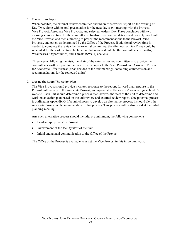#### B. The Written Report

When possible, the external review committee should draft its written report on the evening of Day Two, along with its oral presentation for the next day's exit meeting with the Provost, Vice Provost, Associate Vice Provosts, and selected leaders. Day Three concludes with two morning sessions: time for the committee to finalize its recommendations and possibly meet with the Vice Provost; and then a meeting to present the recommendations to the Provost, Vice Provosts, and others as determined by the Office of the Provost. If additional review time is needed to complete the review by the external committee, the afternoon of Day Three could be scheduled for the exit meeting. Included in that review should be the committee's Strengths, Weaknesses, Opportunities, and Threats (SWOT) analysis.

Three weeks following the visit, the chair of the external review committee is to provide the committee's written report to the Provost with copies to the Vice Provost and Associate Provost for Academic Effectiveness (or as decided at the exit meeting), containing comments on and recommendations for the reviewed unit(s).

#### C. Closing the Loop: The Action Plan

The Vice Provost should provide a written response to the report, forward that response to the Provost with a copy to the Associate Provost, and upload it to the secure < [www.apr.gatech.edu](http://www.apr.gatech.edu/) > website. Each unit should determine a process that involves the staff of the unit to determine and work on an action plan based on the unit review and external review report. One potential process is outlined in Appendix G. If a unit chooses to develop an alternative process, it should alert the Associate Provost with documentation of that process. This process will be discussed at the initial planning meeting.

Any such alternative process should include, at a minimum, the following components:

- Leadership by the Vice Provost
- Involvement of the faculty/staff of the unit
- Initial and annual communication to the Office of the Provost

The Office of the Provost is available to assist the Vice Provost in this important work.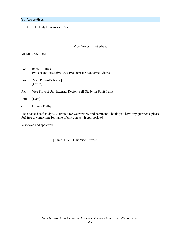## **VI. Appendices**

A. Self-Study Transmission Sheet

#### [Vice Provost's Letterhead]

#### MEMORANDUM

To: Rafael L. Bras Provost and Executive Vice President for Academic Affairs

From: [Vice Provost's Name] [Office]

Re: Vice Provost Unit External Review Self-Study for [Unit Name]

Date: [Date]

cc: Loraine Phillips

The attached self-study is submitted for your review and comment. Should you have any questions, please feel free to contact me [or name of unit contact, if appropriate].

Reviewed and approved:

[Name, Title—Unit Vice Provost]

 $\overline{\phantom{a}}$  , where  $\overline{\phantom{a}}$  , where  $\overline{\phantom{a}}$  ,  $\overline{\phantom{a}}$  ,  $\overline{\phantom{a}}$  ,  $\overline{\phantom{a}}$  ,  $\overline{\phantom{a}}$  ,  $\overline{\phantom{a}}$  ,  $\overline{\phantom{a}}$  ,  $\overline{\phantom{a}}$  ,  $\overline{\phantom{a}}$  ,  $\overline{\phantom{a}}$  ,  $\overline{\phantom{a}}$  ,  $\overline{\phantom{a}}$  ,  $\overline{\phantom{a}}$  ,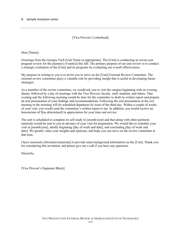[Vice Provost's Letterhead]

Dear [Name]:

Greetings from the Georgia Tech [Unit Name as appropriate]. The [Unit] is conducting its seven-year program review for the [name(s) of unit(s)] this fall. The primary purpose of our unit review is to conduct a strategic evaluation of the [Unit] and its programs by evaluating our overall effectiveness.

My purpose in writing to you is to invite you to serve on the [Unit] External Review Committee. The external review committee plays a valuable role by providing insight that is useful in developing future strategies.

As a member of the review committee, we would ask you to visit the campus beginning with an evening dinner, followed by a day of meetings with the Vice Provost, faculty, staff, students, and others. That evening and the following morning would be time for the committee to draft its written report and prepare an oral presentation of your findings and recommendations. Following the oral presentation at the exit meeting in the morning will be scheduled departures by noon of the third day. Within a couple of weeks of your visit, you would send the committee's written report to me. In addition, you would receive an honorarium of \$[as determined] in appreciation for your time and service.

The unit is scheduled to complete its self-study in [month/year] and that along with other pertinent materials would be sent to you in advance of your visit for preparation. We would like to schedule your visit in [month/year], ideally beginning [day of week and date], and concluding [day of week and date]. We greatly value your insights and opinions, and hope you can serve on the review committee at that time.

I have enclosed a [brochure/materials] to provide some background information on the [Unit]. Thank you for considering this invitation, and please give me a call if you have any questions.

Sincerely,

[Vice Provost's Signature Block]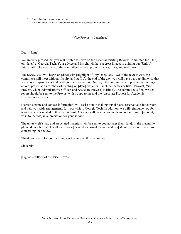[Vice Provost's Letterhead]

Dear [Name]:

We are very pleased that you will be able to serve on the External Visiting Review Committee for [Unit] on [dates] at Georgia Tech. Your advice and insight will have a great impact in guiding our [Unit's] future path. The members of the committee include [provide names, titles, and institution].

The review visit will begin on [date] with [highlight of Day One]. Day Two of the review visit, the committee will meet with our faculty and staff. At the end of the day, you will have a group dinner so that you may compare notes and draft your written report. On [day], the committee will present its findings in an oral presentation for the exit meeting on [date], which will include [names or titles: Provost, Vice Provost, Chief Administrative Officer, and Associate Provost] at [time]. The committee's final written report should be sent to the Provost with a copy to me and the Associate Provost for Academic Effectiveness by [date].

[Person's name and contact information] will assist you in making travel plans, reserve your hotel room, and help you with arrangements for your visit to Georgia Tech. In addition, we will reimburse you for travel expenses related to this review visit. Also, we will provide you with an honorarium of [amount, if wish to include] in appreciation for your service.

The unit(s) self-study and associated materials will be sent to you no later than [date]. In the meantime, please do not hesitate to call me [phone] or send an e-mail [e-mail address] should you have questions concerning the review.

Thank you again for your willingness to serve on this committee.

Sincerely,

[Signature/Block of the Vice Provost]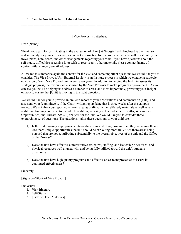D. Sample Pre-visit Letter to External Reviewer

## [Vice Provost's Letterhead]

Dear [Name]:

Thank you again for participating in the evaluation of [Unit] at Georgia Tech. Enclosed is the itinerary and self-study for your visit as well as contact information for [person's name] who will assist with your travel plans, hotel room, and other arrangements regarding your visit. If you have questions about the self-study, difficulties accessing it, or wish to receive any other materials, please contact [name of contact, title, number, e-mail address].

Allow me to summarize again the context for the visit and some important questions we would like you to consider. The Vice Provost Unit External Review is an Institute process in which we conduct a strategic evaluation of each Vice Provost unit every seven years. In addition to helping the Institute assess its strategic progress, the reviews are also used by the Vice Provosts to make program improvements. As you can see, you will be helping us address a number of areas, and most importantly, providing your insight on how to ensure that [Unit] is moving in the right direction.

We would like for you to provide an oral exit report of your observations and comments on [date], and also send your [committee's, if the Chair] written report [date that is three weeks after the campus review]. We ask that your report cover each area as outlined in the self-study materials as well as any additional findings you wish to include. In addition, we ask you to conduct a Strengths, Weaknesses, Opportunities, and Threats (SWOT) analysis for the unit. We would like you to consider three overarching set of questions. The questions [tailor these questions to your unit] are:

- 1) Is the unit pursuing appropriate strategic directions and, if so, how well are they achieving them? Are there unique opportunities the unit should be exploiting more fully? Are there areas being pursued that are not contributing substantially to the overall objectives of the unit and the Office of the Provost?
- 2) Does the unit have effective administrative structures, staffing, and leadership? Are fiscal and physical resources well aligned with and being fully utilized toward the unit's strategic directions?
- 3) Does the unit have high quality programs and effective assessment processes to assure its continued effectiveness?

Sincerely,

[Signature/Block of Vice Provost]

Enclosures:

- 1. Visit Itinerary
- 2. Self-Study
- 3. [Title of Other Materials]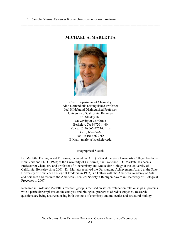## **MICHAEL A. MARLETTA**



Chair, Department of Chemistry Aldo DeBendictis Distinguished Professor Joel Hildebrand Distinguished Professor University of California, Berkeley 570 Stanley Hall University of California Berkeley, CA 94720-1460 Voice: (510) 666-2763-Office (510) 666-2766 Fax: (510) 666-2765 E-Mail: [marletta@berkeley.edu](mailto:marletta@berkeley.edu)

Biographical Sketch

Dr. Marletta, Distinguished Professor, received his A.B. (1973) at the State University College, Fredonia, New York and Ph.D. (1978) at the University of California, San Francisco. Dr. Marletta has been a Professor of Chemistry and Professor of Biochemistry and Molecular Biology at the University of California, Berkeley since 2001. Dr. Marletta received the Outstanding Achievement Award at the State University of New York College at Fredonia in 1993, is a Fellow with the American Academy of Arts and Sciences and received the American Chemical Society's Repligen Award in Chemistry of Biological Processes in 2007.

Research in Professor Marletta's research group is focused on structure/function relationships in proteins with a particular emphasis on the catalytic and biological properties of redox enzymes. Research questions are being answered using both the tools of chemistry and molecular and structural biology.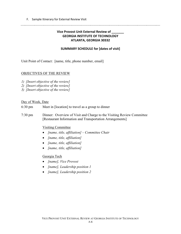F. Sample Itinerary for External Review Visit

## **Vice Provost Unit External Review of \_\_\_\_\_\_\_ GEORGIA INSTITUTE OF TECHNOLOGY ATLANTA, GEORGIA 30332**

## **SUMMARY SCHEDULE for [dates of visit]**

Unit Point of Contact: [name, title, phone number, email]

## OBJECTIVES OF THE REVIEW

- *1) [Insert objective of the review]*
- *2) [Insert objective of the review]*
- *3) [Insert objective of the review]*

#### Day of Week, Date

- 6:30 pm Meet in [location] to travel as a group to dinner
- 7:30 pm Dinner: Overview of Visit and Charge to the Visiting Review Committee [Restaurant Information and Transportation Arrangements]

#### Visiting Committee

- *[name, title, affiliation] – Committee Chair*
- *[name, title, affiliation]*
- *[name, title, affiliation]*
- *[name, title, affiliation]*

## Georgia Tech

- *[name], Vice Provost*
- *[name], Leadership position 1*
- *[name], Leadership position 2*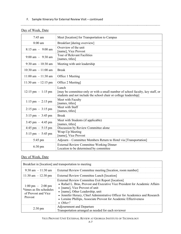## F. Sample Itinerary for External Review Visit – continued

| $7:45$ am                                                      | Meet [location] for Transportation to Campus                                                                                                                |
|----------------------------------------------------------------|-------------------------------------------------------------------------------------------------------------------------------------------------------------|
| 8:00 am                                                        | Breakfast [during overview]                                                                                                                                 |
| $8:15$ am $-$ 9:00 am                                          | Overview of the unit<br>[name], Vice Provost                                                                                                                |
| $9:00 \text{ am} - 9:30 \text{ am}$                            | Tour of Relevant Facilities<br>[names, titles]                                                                                                              |
| $9:30$ am $-10:30$ am                                          | Meeting with unit leadership                                                                                                                                |
| $10:30$ am $-11:00$ am                                         | <b>Break</b>                                                                                                                                                |
| $11:00$ am $-11:30$ am                                         | Office 1 Meeting                                                                                                                                            |
| $11:30$ am $-12:15$ pm                                         | Office 2 Meeting]                                                                                                                                           |
| $12:15 \text{ pm } - 1:15 \text{ pm }$                         | Lunch<br>[may be committee-only or with a small number of school faculty, key staff, or<br>students and not include the school chair or college leadership] |
| $1:15 \text{ pm } - 2:15 \text{ pm }$                          | Meet with Faculty<br>[names, titles]                                                                                                                        |
| $2:15 \text{ pm } - 3:15 \text{ pm }$                          | Meet with Staff<br>[names, titles]                                                                                                                          |
| $3:15 \text{ pm} - 3:45 \text{ pm}$                            | <b>Break</b>                                                                                                                                                |
| $3:45 \text{ pm} - 4:45 \text{ pm}$                            | Meet with Students (if applicable)<br>[names, titles]                                                                                                       |
| Discussion by Review Committee alone<br>$4:45$ pm $-5:15$ pm   |                                                                                                                                                             |
| Wrap-Up Meeting<br>5:15 pm $-$ 5:45 pm<br>[name], Vice Provost |                                                                                                                                                             |
| $5:45 \text{ pm}$                                              | Adjourn – Committee Members Return to Hotel via [Transportation]                                                                                            |
| $6:30 \text{ pm}$                                              | <b>External Review Committee Working Dinner</b><br>Location to be determined by committee                                                                   |

## Day of Week, Date

# Day of Week, Date

| Breakfast in [location] and transportation to meeting                                             |                                                                                                                                                                                                                                                                                                                                                                             |  |
|---------------------------------------------------------------------------------------------------|-----------------------------------------------------------------------------------------------------------------------------------------------------------------------------------------------------------------------------------------------------------------------------------------------------------------------------------------------------------------------------|--|
| $9:30 \text{ am } -11:30 \text{ am}$                                                              | <b>External Review Committee meeting [location, room number]</b>                                                                                                                                                                                                                                                                                                            |  |
| $11:30$ am $-12:30$ pm                                                                            | External Review Committee Lunch [location]                                                                                                                                                                                                                                                                                                                                  |  |
| $1:00 \text{ pm} - 2:00 \text{ pm}$<br>*times as fits schedules<br>of Provost and Vice<br>Provost | External Review Committee Exit Report [location]<br>• Rafael L. Bras, Provost and Executive Vice President for Academic Affairs<br>• [name], Vice Provost of unit<br>• [name], Other Leadership, unit<br>• Jennifer Herazy, Chief Administrative Officer for Academics and Research<br>• Loraine Phillips, Associate Provost for Academic Effectiveness<br>$\bullet$ Other? |  |
| $2:30 \text{ pm}$                                                                                 | Adjournment and Departure<br>Transportation arranged as needed for each reviewer                                                                                                                                                                                                                                                                                            |  |

## VICE PROVOST UNIT EXTERNAL REVIEW AT GEORGIA INSTITUTE OF TECHNOLOGY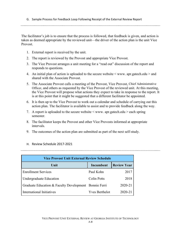G. Sample Process for Feedback Loop Following Receipt of the External Review Report

The facilitator's job is to ensure that the process is followed, that feedback is given, and action is taken as deemed appropriate by the reviewed unit—the driver of the action plan is the unit Vice Provost.

- 1. External report is received by the unit.
- 2. The report is reviewed by the Provost and appropriate Vice Provost.
- 3. The Vice Provost arranges a unit meeting for a "read out" discussion of the report and responds to questions.
- 4. An initial plan of action is uploaded to the secure website < www. apr.gatech.edu > and shared with the Associate Provost.
- 5. The Associate Provost calls a meeting of the Provost, Vice Provost, Chief Administrative Officer, and others as requested by the Vice Provost of the reviewed unit. At this meeting, the Vice Provost will propose what actions they expect to take in response to the report. It is at this point that it might be suggested that a different facilitator be appointed.
- 6. It is then up to the Vice Provost to work out a calendar and schedule of carrying out this action plan. The facilitator is available to assist and to provide feedback along the way.
- 7. A report is uploaded to the secure website  $\leq$  www. apr.gatech.edu  $>$  each spring semester.
- 8. The facilitator keeps the Provost and other Vice Provosts informed at appropriate intervals.
- 9. The outcomes of the action plan are submitted as part of the next self-study.

| <b>Vice Provost Unit External Review Schedule</b>     |                       |                    |  |
|-------------------------------------------------------|-----------------------|--------------------|--|
| Unit                                                  | Incumbent             | <b>Review Year</b> |  |
| <b>Enrollment Services</b>                            | Paul Kohn             | 2017               |  |
| Undergraduate Education                               | Colin Potts           | 2018               |  |
| Graduate Education & Faculty Development Bonnie Ferri |                       | 2020-21            |  |
| International Initiatives                             | <b>Yves Berthelot</b> | 2020-21            |  |

## H. Review Schedule 2017-2021